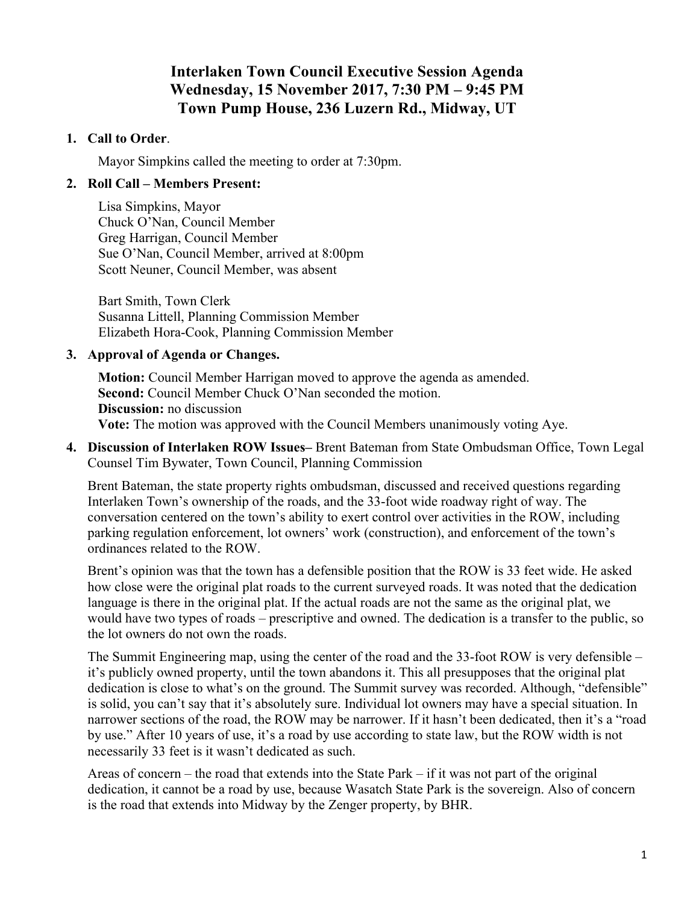# **Interlaken Town Council Executive Session Agenda Wednesday, 15 November 2017, 7:30 PM – 9:45 PM Town Pump House, 236 Luzern Rd., Midway, UT**

### **1. Call to Order**.

Mayor Simpkins called the meeting to order at 7:30pm.

# **2. Roll Call – Members Present:**

Lisa Simpkins, Mayor Chuck O'Nan, Council Member Greg Harrigan, Council Member Sue O'Nan, Council Member, arrived at 8:00pm Scott Neuner, Council Member, was absent

Bart Smith, Town Clerk Susanna Littell, Planning Commission Member Elizabeth Hora-Cook, Planning Commission Member

#### **3. Approval of Agenda or Changes.**

**Motion:** Council Member Harrigan moved to approve the agenda as amended. Second: Council Member Chuck O'Nan seconded the motion. **Discussion:** no discussion **Vote:** The motion was approved with the Council Members unanimously voting Aye.

**4. Discussion of Interlaken ROW Issues–** Brent Bateman from State Ombudsman Office, Town Legal Counsel Tim Bywater, Town Council, Planning Commission

Brent Bateman, the state property rights ombudsman, discussed and received questions regarding Interlaken Town's ownership of the roads, and the 33-foot wide roadway right of way. The conversation centered on the town's ability to exert control over activities in the ROW, including parking regulation enforcement, lot owners' work (construction), and enforcement of the town's ordinances related to the ROW.

Brent's opinion was that the town has a defensible position that the ROW is 33 feet wide. He asked how close were the original plat roads to the current surveyed roads. It was noted that the dedication language is there in the original plat. If the actual roads are not the same as the original plat, we would have two types of roads – prescriptive and owned. The dedication is a transfer to the public, so the lot owners do not own the roads.

The Summit Engineering map, using the center of the road and the 33-foot ROW is very defensible – it's publicly owned property, until the town abandons it. This all presupposes that the original plat dedication is close to what's on the ground. The Summit survey was recorded. Although, "defensible" is solid, you can't say that it's absolutely sure. Individual lot owners may have a special situation. In narrower sections of the road, the ROW may be narrower. If it hasn't been dedicated, then it's a "road by use." After 10 years of use, it's a road by use according to state law, but the ROW width is not necessarily 33 feet is it wasn't dedicated as such.

Areas of concern – the road that extends into the State Park – if it was not part of the original dedication, it cannot be a road by use, because Wasatch State Park is the sovereign. Also of concern is the road that extends into Midway by the Zenger property, by BHR.